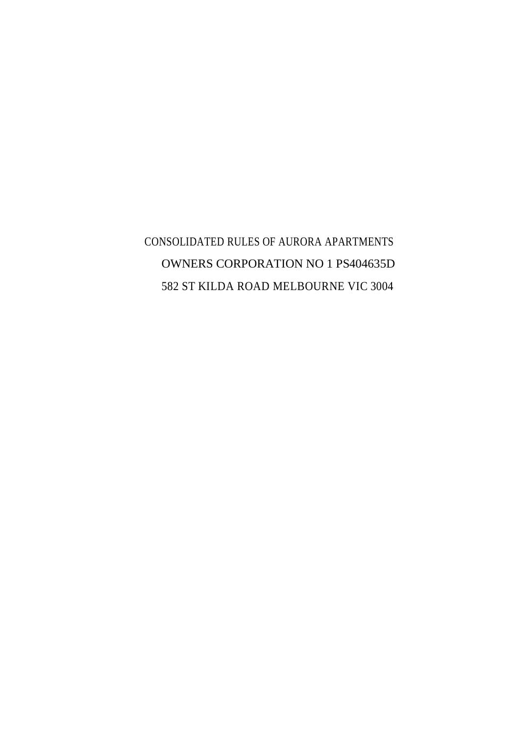CONSOLIDATED RULES OF AURORA APARTMENTS OWNERS CORPORATION NO 1 PS404635D 582 ST KILDA ROAD MELBOURNE VIC 3004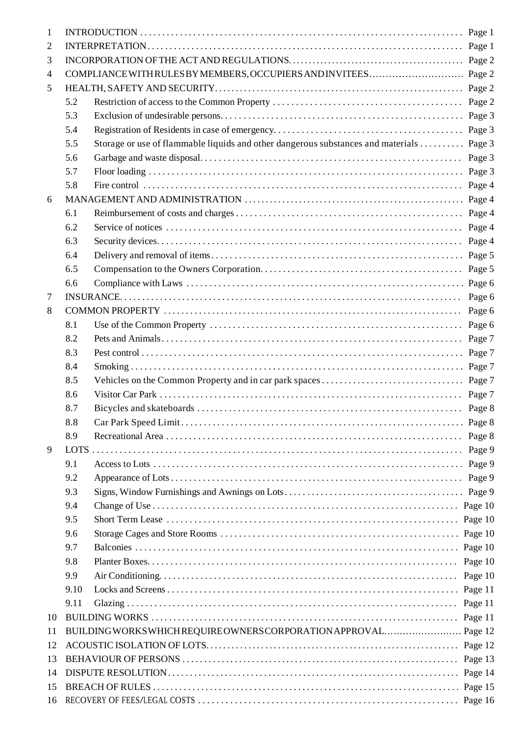| 1  |             |                                                                                         |                    |
|----|-------------|-----------------------------------------------------------------------------------------|--------------------|
| 2  |             |                                                                                         |                    |
| 3  |             |                                                                                         |                    |
| 4  |             |                                                                                         |                    |
| 5  |             |                                                                                         |                    |
|    | 5.2         |                                                                                         | Page 2             |
|    | 5.3         |                                                                                         |                    |
|    | 5.4         |                                                                                         |                    |
|    | 5.5         | Storage or use of flammable liquids and other dangerous substances and materials Page 3 |                    |
|    | 5.6         |                                                                                         |                    |
|    | 5.7         |                                                                                         |                    |
|    | 5.8         |                                                                                         | Page 4             |
| 6  |             |                                                                                         |                    |
|    | 6.1         |                                                                                         |                    |
|    | 6.2         |                                                                                         | Page 4             |
|    | 6.3         |                                                                                         |                    |
|    | 6.4         |                                                                                         |                    |
|    | 6.5         |                                                                                         | Page 5             |
|    | 6.6         |                                                                                         |                    |
| 7  |             |                                                                                         | Page 6             |
| 8  |             |                                                                                         | Page 6             |
|    | 8.1         |                                                                                         | Page 6             |
|    | 8.2         |                                                                                         | Page 7             |
|    | 8.3         |                                                                                         |                    |
|    | 8.4         |                                                                                         |                    |
|    | 8.5         |                                                                                         |                    |
|    | 8.6         |                                                                                         | Page 7             |
|    | 8.7         |                                                                                         |                    |
|    | 8.8         |                                                                                         |                    |
|    | 8.9         |                                                                                         |                    |
| 9  | <b>LOTS</b> |                                                                                         | Page 9             |
|    | 9.1         |                                                                                         | Page 9             |
|    | 9.2         |                                                                                         | Page 9             |
|    | 9.3         |                                                                                         | Page 9             |
|    | 9.4         |                                                                                         |                    |
|    | 9.5         |                                                                                         | Page 10            |
|    | 9.6         |                                                                                         |                    |
|    | 9.7         |                                                                                         |                    |
|    | 9.8         |                                                                                         |                    |
|    | 9.9         |                                                                                         | Page 10<br>Page 10 |
|    | 9.10        |                                                                                         |                    |
|    |             |                                                                                         |                    |
|    | 9.11        |                                                                                         | Page 11            |
| 10 |             |                                                                                         | Page 11            |
| 11 |             |                                                                                         |                    |
| 12 |             |                                                                                         | Page 12            |
| 13 |             |                                                                                         | Page 13            |
| 14 |             |                                                                                         |                    |
| 15 |             |                                                                                         |                    |
| 16 |             |                                                                                         |                    |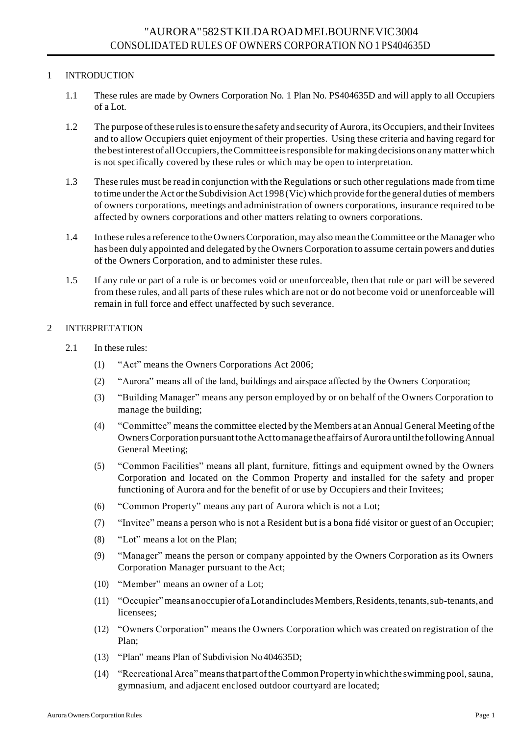# 1 INTRODUCTION

- 1.1 These rules are made by Owners Corporation No. 1 Plan No. PS404635D and will apply to all Occupiers of a Lot.
- 1.2 The purpose ofthese rulesisto ensure the safety and security of Aurora, its Occupiers, and their Invitees and to allow Occupiers quiet enjoyment of their properties. Using these criteria and having regard for the bestinterest of allOccupiers,theCommitteeisresponsible for making decisions onany matter which is not specifically covered by these rules or which may be open to interpretation.
- 1.3 These rules must be read in conjunction with the Regulations orsuch other regulations made from time to time under the Act or the Subdivision Act 1998 (Vic) which provide forthe general duties of members of owners corporations, meetings and administration of owners corporations, insurance required to be affected by owners corporations and other matters relating to owners corporations.
- 1.4 In these rules a reference to the OwnersCorporation, may also mean the Committee or the Manager who has been duly appointed and delegated by the Owners Corporation to assume certain powers and duties of the Owners Corporation, and to administer these rules.
- 1.5 If any rule or part of a rule is or becomes void or unenforceable, then that rule or part will be severed from these rules, and all parts of these rules which are not or do not become void or unenforceable will remain in full force and effect unaffected by such severance.

# 2 INTERPRETATION

- 2.1 In these rules:
	- (1) "Act" means the Owners Corporations Act 2006;
	- (2) "Aurora" means all of the land, buildings and airspace affected by the Owners Corporation;
	- (3) "Building Manager" means any person employed by or on behalf of the Owners Corporation to manage the building;
	- (4) "Committee" meansthe committee elected by the Members at an Annual General Meeting of the Owners Corporation pursuant to the Act to manage the affairs of Aurora until the following Annual General Meeting;
	- (5) "Common Facilities" means all plant, furniture, fittings and equipment owned by the Owners Corporation and located on the Common Property and installed for the safety and proper functioning of Aurora and for the benefit of or use by Occupiers and their Invitees;
	- (6) "Common Property" means any part of Aurora which is not a Lot;
	- (7) "Invitee" means a person who is not a Resident but is a bona fidé visitor or guest of an Occupier;
	- (8) "Lot" means a lot on the Plan;
	- (9) "Manager" means the person or company appointed by the Owners Corporation as its Owners Corporation Manager pursuant to the Act;
	- (10) "Member" means an owner of a Lot;
	- (11) "Occupier"meansanoccupierofaLotandincludesMembers,Residents,tenants,sub-tenants,and licensees;
	- (12) "Owners Corporation" means the Owners Corporation which was created on registration of the Plan;
	- (13) "Plan" means Plan of Subdivision No404635D;
	- (14) "Recreational Area"meansthat part oftheCommon Propertyinwhichthe swimming pool,sauna, gymnasium, and adjacent enclosed outdoor courtyard are located;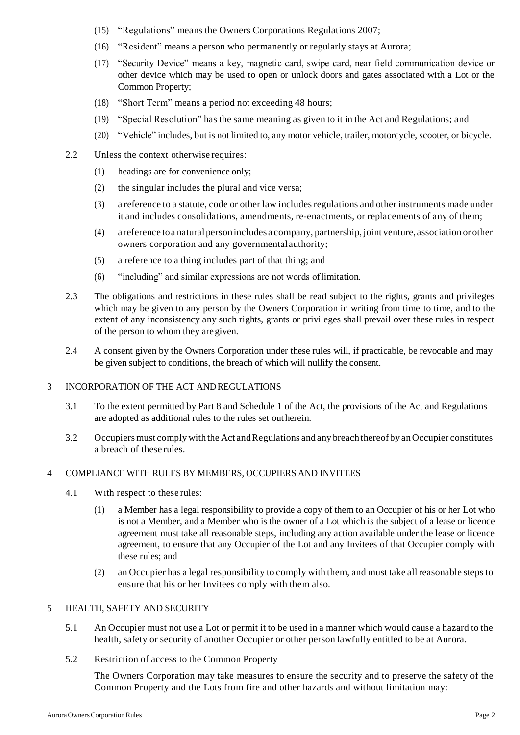- (15) "Regulations" means the Owners Corporations Regulations 2007;
- (16) "Resident" means a person who permanently or regularly stays at Aurora;
- (17) "Security Device" means a key, magnetic card, swipe card, near field communication device or other device which may be used to open or unlock doors and gates associated with a Lot or the Common Property;
- (18) "Short Term" means a period not exceeding 48 hours;
- (19) "Special Resolution" has the same meaning as given to it in the Act and Regulations; and
- (20) "Vehicle" includes, but is not limited to, any motor vehicle, trailer, motorcycle, scooter, or bicycle.
- 2.2 Unless the context otherwise requires:
	- (1) headings are for convenience only;
	- (2) the singular includes the plural and vice versa;
	- (3) a reference to a statute, code or other law includes regulations and other instruments made under it and includes consolidations, amendments, re-enactments, or replacements of any of them;
	- (4) a reference toa natural personincludes a company, partnership, joint venture, association or other owners corporation and any governmentalauthority;
	- (5) a reference to a thing includes part of that thing; and
	- (6) "including" and similar expressions are not words oflimitation.
- 2.3 The obligations and restrictions in these rules shall be read subject to the rights, grants and privileges which may be given to any person by the Owners Corporation in writing from time to time, and to the extent of any inconsistency any such rights, grants or privileges shall prevail over these rules in respect of the person to whom they aregiven.
- 2.4 A consent given by the Owners Corporation under these rules will, if practicable, be revocable and may be given subject to conditions, the breach of which will nullify the consent.

#### 3 INCORPORATION OF THE ACT ANDREGULATIONS

- 3.1 To the extent permitted by Part 8 and Schedule 1 of the Act, the provisions of the Act and Regulations are adopted as additional rules to the rules set out herein.
- 3.2 Occupiers must comply with the Act and Regulations and any breach thereof by an Occupier constitutes a breach of these rules.

## 4 COMPLIANCE WITH RULES BY MEMBERS, OCCUPIERS AND INVITEES

- 4.1 With respect to these rules:
	- (1) a Member has a legal responsibility to provide a copy of them to an Occupier of his or her Lot who is not a Member, and a Member who is the owner of a Lot which is the subject of a lease or licence agreement must take all reasonable steps, including any action available under the lease or licence agreement, to ensure that any Occupier of the Lot and any Invitees of that Occupier comply with these rules; and
	- (2) an Occupier has a legal responsibility to comply with them, and must take allreasonable steps to ensure that his or her Invitees comply with them also.

### 5 HEALTH, SAFETY AND SECURITY

- 5.1 An Occupier must not use a Lot or permit it to be used in a manner which would cause a hazard to the health, safety or security of another Occupier or other person lawfully entitled to be at Aurora.
- 5.2 Restriction of access to the Common Property

The Owners Corporation may take measures to ensure the security and to preserve the safety of the Common Property and the Lots from fire and other hazards and without limitation may: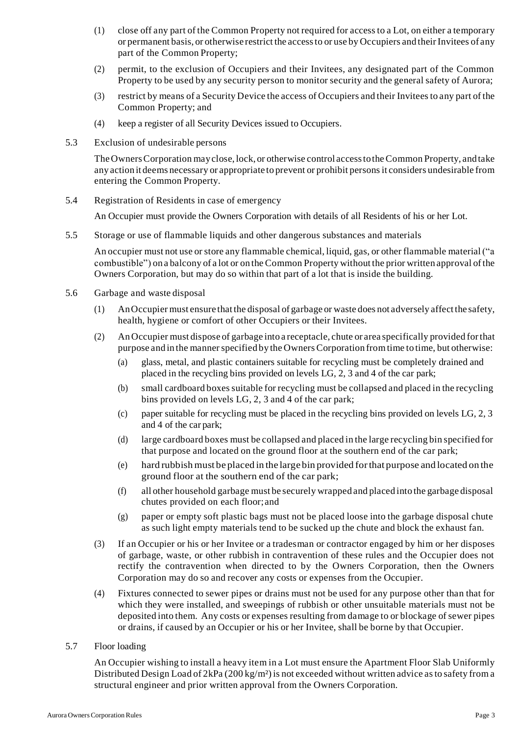- (1) close off any part of the Common Property not required for accessto a Lot, on either a temporary or permanent basis, or otherwise restrict the access to or use by Occupiers and their Invitees of any part of the Common Property;
- (2) permit, to the exclusion of Occupiers and their Invitees, any designated part of the Common Property to be used by any security person to monitor security and the general safety of Aurora;
- (3) restrict by means of a Security Device the access of Occupiers and their Inviteesto any part of the Common Property; and
- (4) keep a register of all Security Devices issued to Occupiers.
- 5.3 Exclusion of undesirable persons

TheOwnersCorporation mayclose, lock, or otherwise control accesstotheCommon Property, andtake any action it deems necessary or appropriate to prevent or prohibit personsit considers undesirable from entering the Common Property.

5.4 Registration of Residents in case of emergency

An Occupier must provide the Owners Corporation with details of all Residents of his or her Lot.

5.5 Storage or use of flammable liquids and other dangerous substances and materials

An occupier must not use or store any flammable chemical, liquid, gas, or other flammable material ("a combustible") on a balcony of a lot or on the Common Property without the prior written approval ofthe Owners Corporation, but may do so within that part of a lot that is inside the building.

- 5.6 Garbage and waste disposal
	- (1) AnOccupier must ensure thatthe disposal of garbage or waste does not adversely affectthe safety, health, hygiene or comfort of other Occupiers or their Invitees.
	- (2) AnOccupier must dispose of garbage into a receptacle, chute or area specifically provided forthat purpose and in the manner specified by the Owners Corporation from time to time, but otherwise:
		- (a) glass, metal, and plastic containers suitable for recycling must be completely drained and placed in the recycling bins provided on levels LG, 2, 3 and 4 of the car park;
		- (b) small cardboard boxes suitable for recycling must be collapsed and placed in the recycling bins provided on levels LG, 2, 3 and 4 of the car park;
		- (c) paper suitable for recycling must be placed in the recycling bins provided on levels LG, 2, 3 and 4 of the car park;
		- (d) large cardboard boxes must be collapsed and placed in the large recycling bin specified for that purpose and located on the ground floor at the southern end of the car park;
		- (e) hard rubbishmust be placed in the largebin provided forthat purpose and located on the ground floor at the southern end of the car park;
		- (f) all other household garbage must be securely wrapped and placed into the garbage disposal chutes provided on each floor;and
		- (g) paper or empty soft plastic bags must not be placed loose into the garbage disposal chute as such light empty materials tend to be sucked up the chute and block the exhaust fan.
	- (3) If an Occupier or his or her Invitee or a tradesman or contractor engaged by him or her disposes of garbage, waste, or other rubbish in contravention of these rules and the Occupier does not rectify the contravention when directed to by the Owners Corporation, then the Owners Corporation may do so and recover any costs or expenses from the Occupier.
	- (4) Fixtures connected to sewer pipes or drains must not be used for any purpose other than that for which they were installed, and sweepings of rubbish or other unsuitable materials must not be deposited into them. Any costs or expenses resulting from damage to or blockage of sewer pipes or drains, if caused by an Occupier or his or her Invitee, shall be borne by that Occupier.
- 5.7 Floor loading

An Occupier wishing to install a heavy item in a Lot must ensure the Apartment Floor Slab Uniformly Distributed Design Load of  $2kPa (200 kg/m<sup>2</sup>)$  is not exceeded without written advice as to safety from a structural engineer and prior written approval from the Owners Corporation.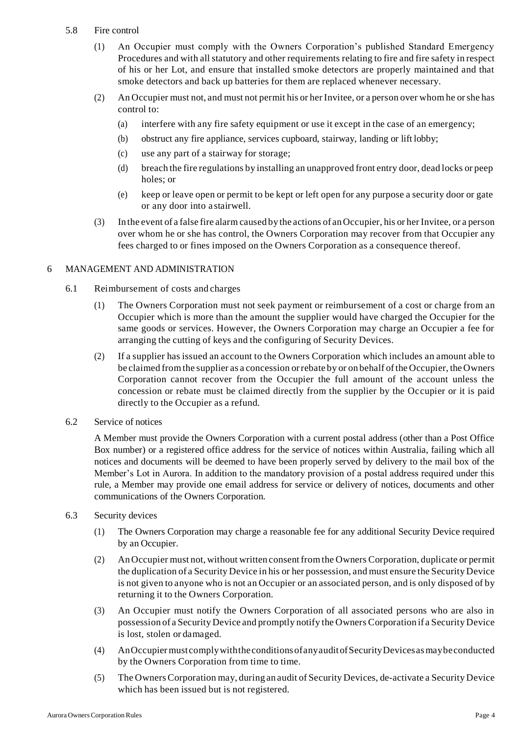## 5.8 Fire control

- (1) An Occupier must comply with the Owners Corporation's published Standard Emergency Procedures and with all statutory and other requirements relating to fire and fire safety in respect of his or her Lot, and ensure that installed smoke detectors are properly maintained and that smoke detectors and back up batteries for them are replaced whenever necessary.
- (2) An Occupier must not, and must not permit his or her Invitee, or a person over whom he orshe has control to:
	- (a) interfere with any fire safety equipment or use it except in the case of an emergency;
	- (b) obstruct any fire appliance, services cupboard, stairway, landing or lift lobby;
	- (c) use any part of a stairway for storage;
	- (d) breach the fire regulations by installing an unapproved front entry door, dead locks or peep holes; or
	- (e) keep or leave open or permit to be kept or left open for any purpose a security door or gate or any door into a stairwell.
- (3) In the event of a false fire alarm caused by the actions of anOccupier, his or her Invitee, or a person over whom he or she has control, the Owners Corporation may recover from that Occupier any fees charged to or fines imposed on the Owners Corporation as a consequence thereof.

## 6 MANAGEMENT AND ADMINISTRATION

- 6.1 Reimbursement of costs and charges
	- (1) The Owners Corporation must not seek payment or reimbursement of a cost or charge from an Occupier which is more than the amount the supplier would have charged the Occupier for the same goods or services. However, the Owners Corporation may charge an Occupier a fee for arranging the cutting of keys and the configuring of Security Devices.
	- (2) If a supplier has issued an account to the Owners Corporation which includes an amount able to be claimed fromthe supplier as a concession orrebate by or on behalf ofthe Occupier, the Owners Corporation cannot recover from the Occupier the full amount of the account unless the concession or rebate must be claimed directly from the supplier by the Occupier or it is paid directly to the Occupier as a refund.
- 6.2 Service of notices

A Member must provide the Owners Corporation with a current postal address (other than a Post Office Box number) or a registered office address for the service of notices within Australia, failing which all notices and documents will be deemed to have been properly served by delivery to the mail box of the Member's Lot in Aurora. In addition to the mandatory provision of a postal address required under this rule, a Member may provide one email address for service or delivery of notices, documents and other communications of the Owners Corporation.

- 6.3 Security devices
	- (1) The Owners Corporation may charge a reasonable fee for any additional Security Device required by an Occupier.
	- (2) AnOccupier must not, without written consentfromthe Owners Corporation, duplicate or permit the duplication of a Security Device in his or her possession, and must ensure the SecurityDevice is not given to anyone who is not an Occupier or an associated person, and is only disposed of by returning it to the Owners Corporation.
	- (3) An Occupier must notify the Owners Corporation of all associated persons who are also in possession of a Security Device and promptly notify the Owners Corporation if a SecurityDevice is lost, stolen or damaged.
	- (4) AnOccupiermust complywiththeconditionsofanyauditofSecurityDevicesasmaybeconducted by the Owners Corporation from time to time.
	- (5) The OwnersCorporation may, during an audit of Security Devices, de-activate a Security Device which has been issued but is not registered.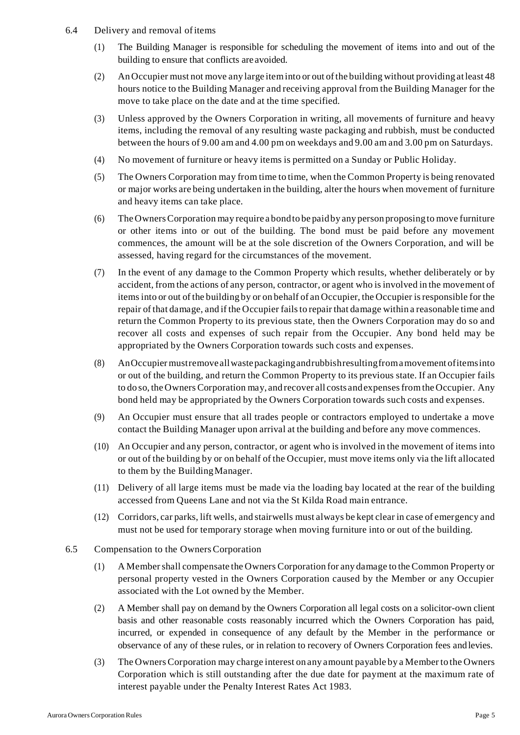- 6.4 Delivery and removal ofitems
	- (1) The Building Manager is responsible for scheduling the movement of items into and out of the building to ensure that conflicts are avoided.
	- (2) AnOccupier must not move any large iteminto or out ofthe building without providing atleast 48 hours notice to the Building Manager and receiving approval from the Building Manager for the move to take place on the date and at the time specified.
	- (3) Unless approved by the Owners Corporation in writing, all movements of furniture and heavy items, including the removal of any resulting waste packaging and rubbish, must be conducted between the hours of 9.00 am and 4.00 pm on weekdays and 9.00 am and 3.00 pm on Saturdays.
	- (4) No movement of furniture or heavy items is permitted on a Sunday or Public Holiday.
	- (5) The Owners Corporation may from time to time, when the Common Property is being renovated or major works are being undertaken in the building, alter the hours when movement of furniture and heavy items can take place.
	- (6) The OwnersCorporation may require a bondto be paidby any person proposingto move furniture or other items into or out of the building. The bond must be paid before any movement commences, the amount will be at the sole discretion of the Owners Corporation, and will be assessed, having regard for the circumstances of the movement.
	- (7) In the event of any damage to the Common Property which results, whether deliberately or by accident, from the actions of any person, contractor, or agent who is involved in the movement of itemsinto or out of the building by or on behalf of an Occupier, the Occupier isresponsible for the repair of that damage, and if the Occupier fails to repair that damage within a reasonable time and return the Common Property to its previous state, then the Owners Corporation may do so and recover all costs and expenses of such repair from the Occupier. Any bond held may be appropriated by the Owners Corporation towards such costs and expenses.
	- (8) AnOccupiermustremoveallwastepackagingandrubbishresultingfromamovement ofitemsinto or out of the building, and return the Common Property to its previous state. If an Occupier fails to do so, the Owners Corporation may, and recover all costs and expenses from the Occupier. Any bond held may be appropriated by the Owners Corporation towards such costs and expenses.
	- (9) An Occupier must ensure that all trades people or contractors employed to undertake a move contact the Building Manager upon arrival at the building and before any move commences.
	- (10) An Occupier and any person, contractor, or agent who is involved in the movement of items into or out of the building by or on behalf of the Occupier, must move items only via the lift allocated to them by the BuildingManager.
	- (11) Delivery of all large items must be made via the loading bay located at the rear of the building accessed from Queens Lane and not via the St Kilda Road main entrance.
	- (12) Corridors, car parks, lift wells, and stairwells must always be kept clear in case of emergency and must not be used for temporary storage when moving furniture into or out of the building.
- 6.5 Compensation to the OwnersCorporation
	- (1) A Membershall compensate the Owners Corporation for any damage to the Common Property or personal property vested in the Owners Corporation caused by the Member or any Occupier associated with the Lot owned by the Member.
	- (2) A Member shall pay on demand by the Owners Corporation all legal costs on a solicitor-own client basis and other reasonable costs reasonably incurred which the Owners Corporation has paid, incurred, or expended in consequence of any default by the Member in the performance or observance of any of these rules, or in relation to recovery of Owners Corporation fees andlevies.
	- (3) The OwnersCorporation may charge interest on any amount payable by a Member to the Owners Corporation which is still outstanding after the due date for payment at the maximum rate of interest payable under the Penalty Interest Rates Act 1983.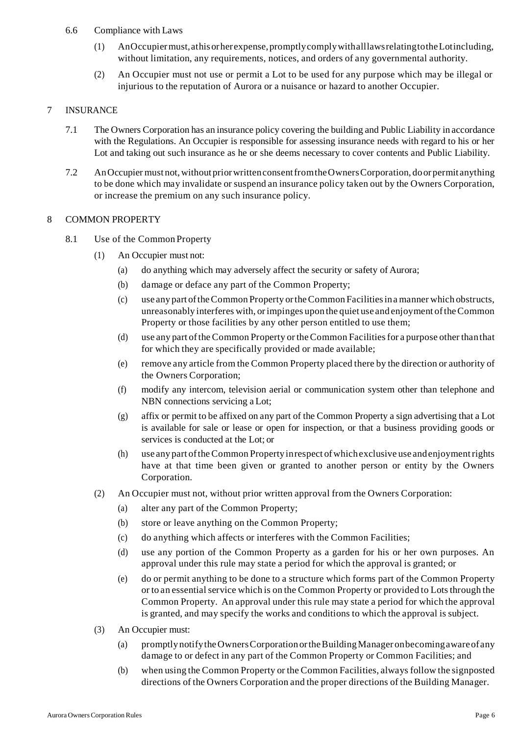- 6.6 Compliance with Laws
	- (1) AnOccupiermust,athisorherexpense,promptlycomplywithalllawsrelatingtotheLotincluding, without limitation, any requirements, notices, and orders of any governmental authority.
	- (2) An Occupier must not use or permit a Lot to be used for any purpose which may be illegal or injurious to the reputation of Aurora or a nuisance or hazard to another Occupier.

## 7 INSURANCE

- 7.1 The Owners Corporation has an insurance policy covering the building and Public Liability in accordance with the Regulations. An Occupier is responsible for assessing insurance needs with regard to his or her Lot and taking out such insurance as he or she deems necessary to cover contents and Public Liability.
- 7.2 AnOccupier must not,without priorwrittenconsentfromtheOwnersCorporation, doorpermit anything to be done which may invalidate or suspend an insurance policy taken out by the Owners Corporation, or increase the premium on any such insurance policy.

## 8 COMMON PROPERTY

- 8.1 Use of the Common Property
	- (1) An Occupier must not:
		- (a) do anything which may adversely affect the security or safety of Aurora;
		- (b) damage or deface any part of the Common Property;
		- (c) use any part oftheCommon Property ortheCommon Facilitiesina manner which obstructs, unreasonably interferes with, orimpinges upon the quiet use and enjoyment oftheCommon Property or those facilities by any other person entitled to use them;
		- (d) use any part ofthe Common Property or theCommon Facilitiesfor a purpose other thanthat for which they are specifically provided or made available;
		- (e) remove any article from the Common Property placed there by the direction or authority of the Owners Corporation;
		- (f) modify any intercom, television aerial or communication system other than telephone and NBN connections servicing a Lot;
		- (g) affix or permit to be affixed on any part of the Common Property a sign advertising that a Lot is available for sale or lease or open for inspection, or that a business providing goods or services is conducted at the Lot; or
		- (h) use any part oftheCommon Propertyinrespect ofwhichexclusive use andenjoymentrights have at that time been given or granted to another person or entity by the Owners Corporation.
	- (2) An Occupier must not, without prior written approval from the Owners Corporation:
		- (a) alter any part of the Common Property;
		- (b) store or leave anything on the Common Property;
		- (c) do anything which affects or interferes with the Common Facilities;
		- (d) use any portion of the Common Property as a garden for his or her own purposes. An approval under this rule may state a period for which the approval is granted; or
		- (e) do or permit anything to be done to a structure which forms part of the Common Property or to an essentialservice which is on the Common Property or provided to Lotsthrough the Common Property. An approval under this rule may state a period for which the approval is granted, and may specify the works and conditions to which the approval is subject.
	- (3) An Occupier must:
		- (a) promptlynotifytheOwnersCorporationortheBuildingManager onbecomingawareofany damage to or defect in any part of the Common Property or Common Facilities; and
		- (b) when using the Common Property or the Common Facilities, always follow the signposted directions of the Owners Corporation and the proper directions of the Building Manager.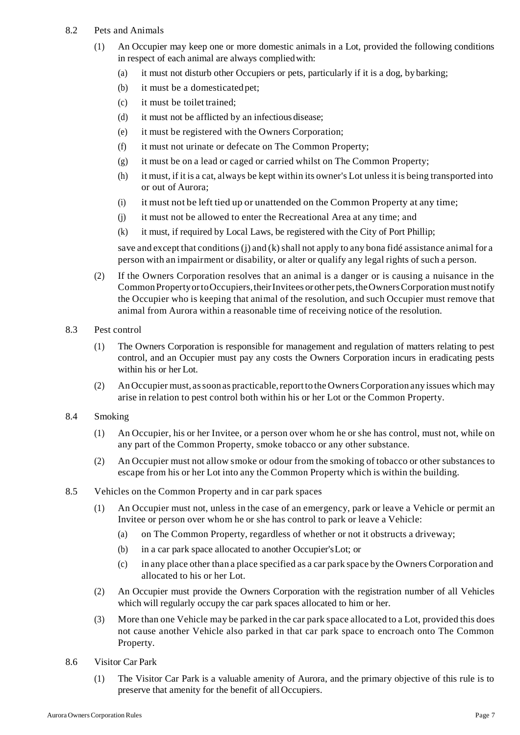- 8.2 Pets and Animals
	- (1) An Occupier may keep one or more domestic animals in a Lot, provided the following conditions in respect of each animal are always compliedwith:
		- (a) it must not disturb other Occupiers or pets, particularly if it is a dog, bybarking;
		- (b) it must be a domesticated pet;
		- (c) it must be toilet trained;
		- (d) it must not be afflicted by an infectious disease;
		- (e) it must be registered with the Owners Corporation;
		- (f) it must not urinate or defecate on The Common Property;
		- (g) it must be on a lead or caged or carried whilst on The Common Property;
		- (h) it must, if it is a cat, always be kept within its owner's Lot unlessit is being transported into or out of Aurora;
		- (i) it must not be left tied up or unattended on the Common Property at any time;
		- (j) it must not be allowed to enter the Recreational Area at any time; and
		- (k) it must, if required by Local Laws, be registered with the City of Port Phillip;

save and except that conditions  $(i)$  and  $(k)$  shall not apply to any bona fidé assistance animal for a person with an impairment or disability, or alter or qualify any legal rights of such a person.

- (2) If the Owners Corporation resolves that an animal is a danger or is causing a nuisance in the Common Property or to Occupiers, their Invitees or other pets, the Owners Corporation must notify the Occupier who is keeping that animal of the resolution, and such Occupier must remove that animal from Aurora within a reasonable time of receiving notice of the resolution.
- 8.3 Pest control
	- (1) The Owners Corporation is responsible for management and regulation of matters relating to pest control, and an Occupier must pay any costs the Owners Corporation incurs in eradicating pests within his or her Lot.
	- (2) An Occupier must, as soon as practicable, report to the Owners Corporation any issues which may arise in relation to pest control both within his or her Lot or the Common Property.
- 8.4 Smoking
	- (1) An Occupier, his or her Invitee, or a person over whom he or she has control, must not, while on any part of the Common Property, smoke tobacco or any other substance.
	- (2) An Occupier must not allow smoke or odour from the smoking of tobacco or other substances to escape from his or her Lot into any the Common Property which is within the building.
- 8.5 Vehicles on the Common Property and in car park spaces
	- (1) An Occupier must not, unless in the case of an emergency, park or leave a Vehicle or permit an Invitee or person over whom he or she has control to park or leave a Vehicle:
		- (a) on The Common Property, regardless of whether or not it obstructs a driveway;
		- (b) in a car park space allocated to another Occupier'sLot; or
		- (c) in any place other than a place specified as a car park space by the Owners Corporation and allocated to his or her Lot.
	- (2) An Occupier must provide the Owners Corporation with the registration number of all Vehicles which will regularly occupy the car park spaces allocated to him or her.
	- (3) More than one Vehicle may be parked in the car park space allocated to a Lot, provided this does not cause another Vehicle also parked in that car park space to encroach onto The Common Property.
- 8.6 Visitor Car Park
	- (1) The Visitor Car Park is a valuable amenity of Aurora, and the primary objective of this rule is to preserve that amenity for the benefit of all Occupiers.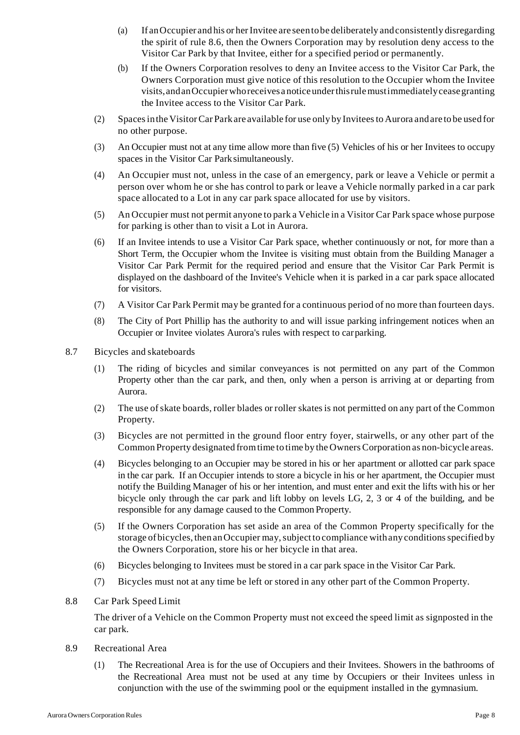- (a) If an Occupier and his or her Invitee are seen to be deliberately and consistently disregarding the spirit of rule 8.6, then the Owners Corporation may by resolution deny access to the Visitor Car Park by that Invitee, either for a specified period or permanently.
- (b) If the Owners Corporation resolves to deny an Invitee access to the Visitor Car Park, the Owners Corporation must give notice of this resolution to the Occupier whom the Invitee visits,andanOccupierwhoreceives a noticeunderthisrulemustimmediatelyceasegranting the Invitee access to the Visitor Car Park.
- (2) Spacesinthe VisitorCar Parkare available for use only by Inviteesto Aurora andare to be used for no other purpose.
- (3) An Occupier must not at any time allow more than five (5) Vehicles of his or her Invitees to occupy spaces in the Visitor Car Parksimultaneously.
- (4) An Occupier must not, unless in the case of an emergency, park or leave a Vehicle or permit a person over whom he or she has control to park or leave a Vehicle normally parked in a car park space allocated to a Lot in any car park space allocated for use by visitors.
- (5) An Occupier must not permit anyone to park a Vehicle in a Visitor Car Park space whose purpose for parking is other than to visit a Lot in Aurora.
- (6) If an Invitee intends to use a Visitor Car Park space, whether continuously or not, for more than a Short Term, the Occupier whom the Invitee is visiting must obtain from the Building Manager a Visitor Car Park Permit for the required period and ensure that the Visitor Car Park Permit is displayed on the dashboard of the Invitee's Vehicle when it is parked in a car park space allocated for visitors.
- (7) A Visitor Car Park Permit may be granted for a continuous period of no more than fourteen days.
- (8) The City of Port Phillip has the authority to and will issue parking infringement notices when an Occupier or Invitee violates Aurora's rules with respect to carparking.
- 8.7 Bicycles and skateboards
	- (1) The riding of bicycles and similar conveyances is not permitted on any part of the Common Property other than the car park, and then, only when a person is arriving at or departing from Aurora.
	- (2) The use ofskate boards, roller blades or roller skatesis not permitted on any part of the Common Property.
	- (3) Bicycles are not permitted in the ground floor entry foyer, stairwells, or any other part of the Common Property designated fromtime to time by the OwnersCorporation as non-bicycle areas.
	- (4) Bicycles belonging to an Occupier may be stored in his or her apartment or allotted car park space in the car park. If an Occupier intends to store a bicycle in his or her apartment, the Occupier must notify the Building Manager of his or her intention, and must enter and exit the lifts with his or her bicycle only through the car park and lift lobby on levels LG, 2, 3 or 4 of the building, and be responsible for any damage caused to the Common Property.
	- (5) If the Owners Corporation has set aside an area of the Common Property specifically for the storage of bicycles, then an Occupier may, subject to compliance with any conditions specified by the Owners Corporation, store his or her bicycle in that area.
	- (6) Bicycles belonging to Invitees must be stored in a car park space in the Visitor Car Park.
	- (7) Bicycles must not at any time be left or stored in any other part of the Common Property.
- 8.8 Car Park Speed Limit

The driver of a Vehicle on the Common Property must not exceed the speed limit as signposted in the car park.

- 8.9 Recreational Area
	- (1) The Recreational Area is for the use of Occupiers and their Invitees. Showers in the bathrooms of the Recreational Area must not be used at any time by Occupiers or their Invitees unless in conjunction with the use of the swimming pool or the equipment installed in the gymnasium.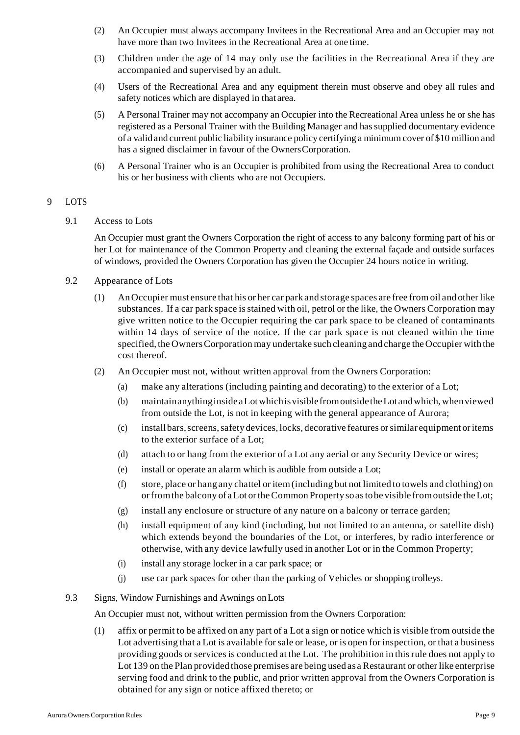- (2) An Occupier must always accompany Invitees in the Recreational Area and an Occupier may not have more than two Invitees in the Recreational Area at one time.
- (3) Children under the age of 14 may only use the facilities in the Recreational Area if they are accompanied and supervised by an adult.
- (4) Users of the Recreational Area and any equipment therein must observe and obey all rules and safety notices which are displayed in that area.
- (5) A Personal Trainer may not accompany an Occupier into the Recreational Area unless he or she has registered as a Personal Trainer with the Building Manager and has supplied documentary evidence of a validand current public liability insurance policy certifying a minimum cover of \$10 million and has a signed disclaimer in favour of the OwnersCorporation.
- (6) A Personal Trainer who is an Occupier is prohibited from using the Recreational Area to conduct his or her business with clients who are not Occupiers.

## 9 LOTS

9.1 Access to Lots

An Occupier must grant the Owners Corporation the right of access to any balcony forming part of his or her Lot for maintenance of the Common Property and cleaning the external façade and outside surfaces of windows, provided the Owners Corporation has given the Occupier 24 hours notice in writing.

- 9.2 Appearance of Lots
	- (1) AnOccupier must ensure that his or her car park and storage spaces are free from oil and other like substances. If a car park space is stained with oil, petrol or the like, the Owners Corporation may give written notice to the Occupier requiring the car park space to be cleaned of contaminants within 14 days of service of the notice. If the car park space is not cleaned within the time specified, the OwnersCorporation may undertake such cleaning and charge the Occupier with the cost thereof.
	- (2) An Occupier must not, without written approval from the Owners Corporation:
		- (a) make any alterations (including painting and decorating) to the exterior of a Lot;
		- (b) maintainanythinginsideaLotwhichisvisiblefromoutsidetheLot andwhich,whenviewed from outside the Lot, is not in keeping with the general appearance of Aurora;
		- (c) installbars,screens,safety devices, locks, decorative features orsimilar equipment oritems to the exterior surface of a Lot;
		- (d) attach to or hang from the exterior of a Lot any aerial or any Security Device or wires;
		- (e) install or operate an alarm which is audible from outside a Lot;
		- (f) store, place or hang any chattel or item(including but not limited to towels and clothing) on orfromthe balcony of aLot ortheCommon Propertysoastobe visible fromoutside theLot;
		- (g) install any enclosure or structure of any nature on a balcony or terrace garden;
		- (h) install equipment of any kind (including, but not limited to an antenna, or satellite dish) which extends beyond the boundaries of the Lot, or interferes, by radio interference or otherwise, with any device lawfully used in another Lot or in the Common Property;
		- (i) install any storage locker in a car park space; or
		- (j) use car park spaces for other than the parking of Vehicles or shopping trolleys.
- 9.3 Signs, Window Furnishings and Awnings onLots

An Occupier must not, without written permission from the Owners Corporation:

(1) affix or permit to be affixed on any part of a Lot a sign or notice which is visible from outside the Lot advertising that a Lot is available forsale or lease, or is open for inspection, or that a business providing goods orservicesis conducted at the Lot. The prohibition in thisrule does not apply to Lot 139 on the Plan provided those premises are being used as a Restaurant or other like enterprise serving food and drink to the public, and prior written approval from the Owners Corporation is obtained for any sign or notice affixed thereto; or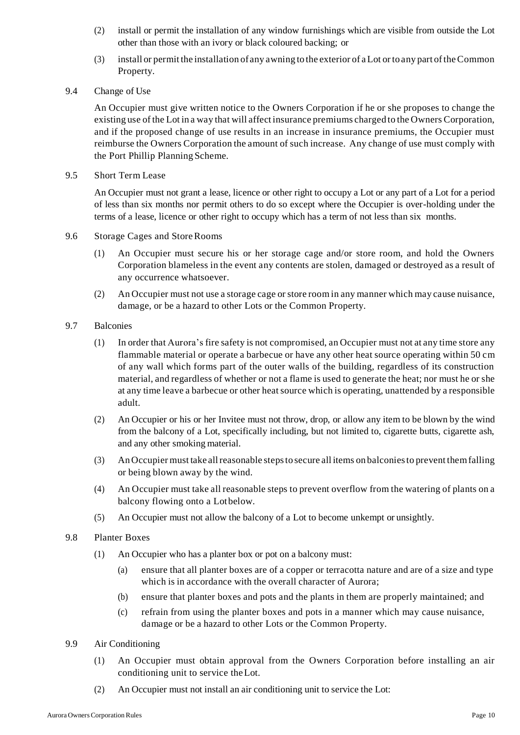- (2) install or permit the installation of any window furnishings which are visible from outside the Lot other than those with an ivory or black coloured backing; or
- (3) install or permit the installation of any awning to the exterior of aLot or to any part oftheCommon Property.
- 9.4 Change of Use

An Occupier must give written notice to the Owners Corporation if he or she proposes to change the existing use of the Lot in a way that will affect insurance premiums charged to the Owners Corporation, and if the proposed change of use results in an increase in insurance premiums, the Occupier must reimburse the Owners Corporation the amount of such increase. Any change of use must comply with the Port Phillip Planning Scheme.

9.5 Short Term Lease

An Occupier must not grant a lease, licence or other right to occupy a Lot or any part of a Lot for a period of less than six months nor permit others to do so except where the Occupier is over-holding under the terms of a lease, licence or other right to occupy which has a term of not less than six months.

- 9.6 Storage Cages and StoreRooms
	- (1) An Occupier must secure his or her storage cage and/or store room, and hold the Owners Corporation blameless in the event any contents are stolen, damaged or destroyed as a result of any occurrence whatsoever.
	- (2) An Occupier must not use a storage cage orstore room in any manner which may cause nuisance, damage, or be a hazard to other Lots or the Common Property.
- 9.7 Balconies
	- (1) In order that Aurora's fire safety is not compromised, an Occupier must not at any time store any flammable material or operate a barbecue or have any other heat source operating within 50 cm of any wall which forms part of the outer walls of the building, regardless of its construction material, and regardless of whether or not a flame is used to generate the heat; nor must he or she at any time leave a barbecue or other heat source which is operating, unattended by a responsible adult.
	- (2) An Occupier or his or her Invitee must not throw, drop, or allow any item to be blown by the wind from the balcony of a Lot, specifically including, but not limited to, cigarette butts, cigarette ash, and any other smoking material.
	- (3) AnOccupier must take allreasonable stepsto secure all items on balconiesto prevent themfalling or being blown away by the wind.
	- (4) An Occupier must take all reasonable steps to prevent overflow from the watering of plants on a balcony flowing onto a Lotbelow.
	- (5) An Occupier must not allow the balcony of a Lot to become unkempt or unsightly.
- 9.8 Planter Boxes
	- (1) An Occupier who has a planter box or pot on a balcony must:
		- (a) ensure that all planter boxes are of a copper or terracotta nature and are of a size and type which is in accordance with the overall character of Aurora;
		- (b) ensure that planter boxes and pots and the plants in them are properly maintained; and
		- (c) refrain from using the planter boxes and pots in a manner which may cause nuisance, damage or be a hazard to other Lots or the Common Property.
- 9.9 Air Conditioning
	- (1) An Occupier must obtain approval from the Owners Corporation before installing an air conditioning unit to service theLot.
	- (2) An Occupier must not install an air conditioning unit to service the Lot: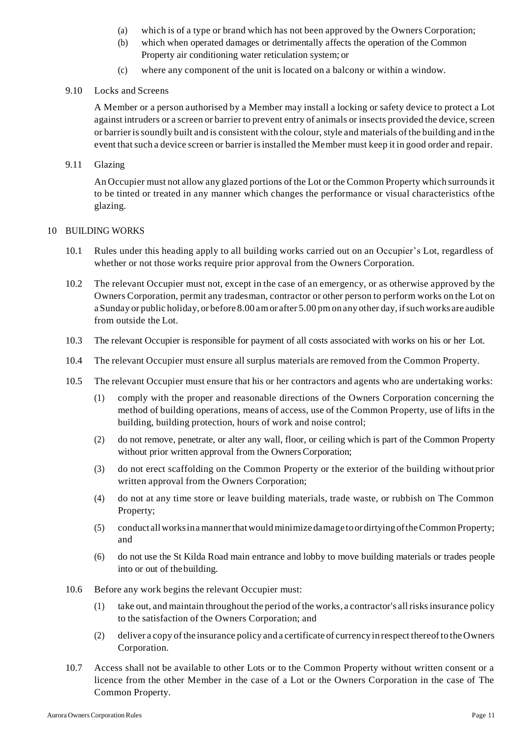- (a) which is of a type or brand which has not been approved by the Owners Corporation;
- (b) which when operated damages or detrimentally affects the operation of the Common Property air conditioning water reticulation system; or
- (c) where any component of the unit is located on a balcony or within a window.

#### 9.10 Locks and Screens

A Member or a person authorised by a Member may install a locking or safety device to protect a Lot against intruders or a screen or barrier to prevent entry of animals or insects provided the device, screen or barrier issoundly built and is consistent with the colour,style and materials of the building and in the event thatsuch a device screen or barrier isinstalled the Member must keep it in good order and repair.

### 9.11 Glazing

An Occupier must not allow any glazed portions of the Lot or the Common Property which surroundsit to be tinted or treated in any manner which changes the performance or visual characteristics ofthe glazing.

## 10 BUILDING WORKS

- 10.1 Rules under this heading apply to all building works carried out on an Occupier's Lot, regardless of whether or not those works require prior approval from the Owners Corporation.
- 10.2 The relevant Occupier must not, except in the case of an emergency, or as otherwise approved by the Owners Corporation, permit any tradesman, contractor or other person to perform works on the Lot on a Sunday or public holiday, or before 8.00 am or after 5.00 pm on any other day, if such works are audible from outside the Lot.
- 10.3 The relevant Occupier is responsible for payment of all costs associated with works on his or her Lot.
- 10.4 The relevant Occupier must ensure all surplus materials are removed from the Common Property.
- 10.5 The relevant Occupier must ensure that his or her contractors and agents who are undertaking works:
	- (1) comply with the proper and reasonable directions of the Owners Corporation concerning the method of building operations, means of access, use of the Common Property, use of lifts in the building, building protection, hours of work and noise control;
	- (2) do not remove, penetrate, or alter any wall, floor, or ceiling which is part of the Common Property without prior written approval from the Owners Corporation;
	- (3) do not erect scaffolding on the Common Property or the exterior of the building without prior written approval from the Owners Corporation;
	- (4) do not at any time store or leave building materials, trade waste, or rubbish on The Common Property;
	- (5) conduct allworksinamannerthatwouldminimize damagetoordirtyingoftheCommon Property; and
	- (6) do not use the St Kilda Road main entrance and lobby to move building materials or trades people into or out of thebuilding.
- 10.6 Before any work begins the relevant Occupier must:
	- (1) take out, and maintain throughout the period of the works, a contractor's allrisksinsurance policy to the satisfaction of the Owners Corporation; and
	- (2) deliver a copy ofthe insurance policy and a certificate of currencyin respect thereofto the Owners Corporation.
- 10.7 Access shall not be available to other Lots or to the Common Property without written consent or a licence from the other Member in the case of a Lot or the Owners Corporation in the case of The Common Property.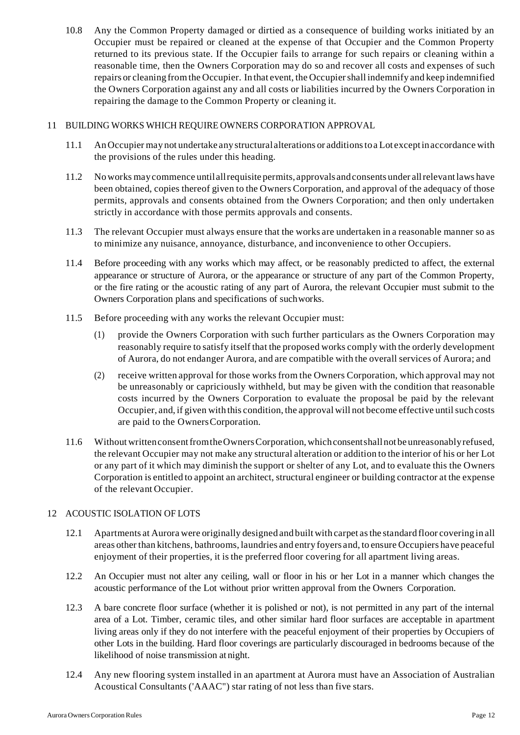10.8 Any the Common Property damaged or dirtied as a consequence of building works initiated by an Occupier must be repaired or cleaned at the expense of that Occupier and the Common Property returned to its previous state. If the Occupier fails to arrange for such repairs or cleaning within a reasonable time, then the Owners Corporation may do so and recover all costs and expenses of such repairs or cleaning fromthe Occupier. In that event, the Occupiershall indemnify and keep indemnified the Owners Corporation against any and all costs or liabilities incurred by the Owners Corporation in repairing the damage to the Common Property or cleaning it.

## 11 BUILDING WORKS WHICH REQUIRE OWNERS CORPORATION APPROVAL

- 11.1 AnOccupier may not undertake anystructural alterations or additionstoa Lot exceptinaccordance with the provisions of the rules under this heading.
- 11.2 Noworks maycommence until allrequisite permits, approvals andconsents under allrelevantlaws have been obtained, copies thereof given to the Owners Corporation, and approval of the adequacy of those permits, approvals and consents obtained from the Owners Corporation; and then only undertaken strictly in accordance with those permits approvals and consents.
- 11.3 The relevant Occupier must always ensure that the works are undertaken in a reasonable manner so as to minimize any nuisance, annoyance, disturbance, and inconvenience to other Occupiers.
- 11.4 Before proceeding with any works which may affect, or be reasonably predicted to affect, the external appearance or structure of Aurora, or the appearance or structure of any part of the Common Property, or the fire rating or the acoustic rating of any part of Aurora, the relevant Occupier must submit to the Owners Corporation plans and specifications of suchworks.
- 11.5 Before proceeding with any works the relevant Occupier must:
	- (1) provide the Owners Corporation with such further particulars as the Owners Corporation may reasonably require to satisfy itself that the proposed works comply with the orderly development of Aurora, do not endanger Aurora, and are compatible with the overall services of Aurora; and
	- (2) receive written approval for those works from the Owners Corporation, which approval may not be unreasonably or capriciously withheld, but may be given with the condition that reasonable costs incurred by the Owners Corporation to evaluate the proposal be paid by the relevant Occupier, and, if given with this condition, the approval will not become effective untilsuch costs are paid to the OwnersCorporation.
- 11.6 Without written consent from the Owners Corporation, which consentshall not be unreasonably refused, the relevant Occupier may not make any structural alteration or addition to the interior of his or her Lot or any part of it which may diminish the support or shelter of any Lot, and to evaluate this the Owners Corporation is entitled to appoint an architect, structural engineer or building contractor at the expense of the relevant Occupier.

#### 12 ACOUSTIC ISOLATION OF LOTS

- 12.1 Apartments at Aurora were originally designed and built with carpet asthe standard floor covering in all areas other than kitchens, bathrooms, laundries and entry foyers and, to ensure Occupiers have peaceful enjoyment of their properties, it is the preferred floor covering for all apartment living areas.
- 12.2 An Occupier must not alter any ceiling, wall or floor in his or her Lot in a manner which changes the acoustic performance of the Lot without prior written approval from the Owners Corporation.
- 12.3 A bare concrete floor surface (whether it is polished or not), is not permitted in any part of the internal area of a Lot. Timber, ceramic tiles, and other similar hard floor surfaces are acceptable in apartment living areas only if they do not interfere with the peaceful enjoyment of their properties by Occupiers of other Lots in the building. Hard floor coverings are particularly discouraged in bedrooms because of the likelihood of noise transmission at night.
- 12.4 Any new flooring system installed in an apartment at Aurora must have an Association of Australian Acoustical Consultants ('AAAC") star rating of not less than five stars.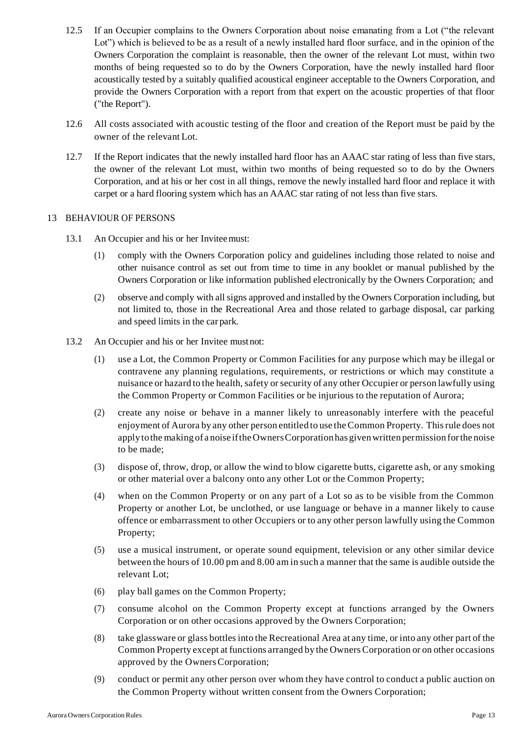- 12.5 If an Occupier complains to the Owners Corporation about noise emanating from a Lot ("the relevant Lot") which is believed to be as a result of a newly installed hard floor surface, and in the opinion of the Owners Corporation the complaint is reasonable, then the owner of the relevant Lot must, within two months of being requested so to do by the Owners Corporation, have the newly installed hard floor acoustically tested by a suitably qualified acoustical engineer acceptable to the Owners Corporation, and provide the Owners Corporation with a report from that expert on the acoustic properties of that floor ("the Report").
- 12.6 All costs associated with acoustic testing of the floor and creation of the Report must be paid by the owner of the relevant Lot.
- 12.7 If the Report indicates that the newly installed hard floor has an AAAC star rating of less than five stars, the owner of the relevant Lot must, within two months of being requested so to do by the Owners Corporation, and at his or her cost in all things, remove the newly installed hard floor and replace it with carpet or a hard flooring system which has an AAAC star rating of not less than five stars.

#### 13 BEHAVIOUR OF PERSONS

- 13.1 An Occupier and his or her Inviteemust:
	- (1) comply with the Owners Corporation policy and guidelines including those related to noise and other nuisance control as set out from time to time in any booklet or manual published by the Owners Corporation or like information published electronically by the Owners Corporation; and
	- (2) observe and comply with all signs approved and installed by the Owners Corporation including, but not limited to, those in the Recreational Area and those related to garbage disposal, car parking and speed limits in the car park.
- 13.2 An Occupier and his or her Invitee mustnot:
	- (1) use a Lot, the Common Property or Common Facilities for any purpose which may be illegal or contravene any planning regulations, requirements, or restrictions or which may constitute a nuisance or hazard to the health, safety or security of any other Occupier or person lawfully using the Common Property or Common Facilities or be injurious to the reputation of Aurora;
	- (2) create any noise or behave in a manner likely to unreasonably interfere with the peaceful enjoyment of Aurora by any other person entitled to use theCommon Property. Thisrule does not applytothe making of a noise iftheOwnersCorporationhas givenwritten permission forthe noise to be made;
	- (3) dispose of, throw, drop, or allow the wind to blow cigarette butts, cigarette ash, or any smoking or other material over a balcony onto any other Lot or the Common Property;
	- (4) when on the Common Property or on any part of a Lot so as to be visible from the Common Property or another Lot, be unclothed, or use language or behave in a manner likely to cause offence or embarrassment to other Occupiers or to any other person lawfully using the Common Property;
	- (5) use a musical instrument, or operate sound equipment, television or any other similar device between the hours of 10.00 pm and 8.00 am in such a manner that the same is audible outside the relevant Lot;
	- (6) play ball games on the Common Property;
	- (7) consume alcohol on the Common Property except at functions arranged by the Owners Corporation or on other occasions approved by the Owners Corporation;
	- (8) take glassware or glass bottlesinto the Recreational Area at any time, or into any other part of the Common Property except at functions arranged by the OwnersCorporation or on other occasions approved by the OwnersCorporation;
	- (9) conduct or permit any other person over whom they have control to conduct a public auction on the Common Property without written consent from the Owners Corporation;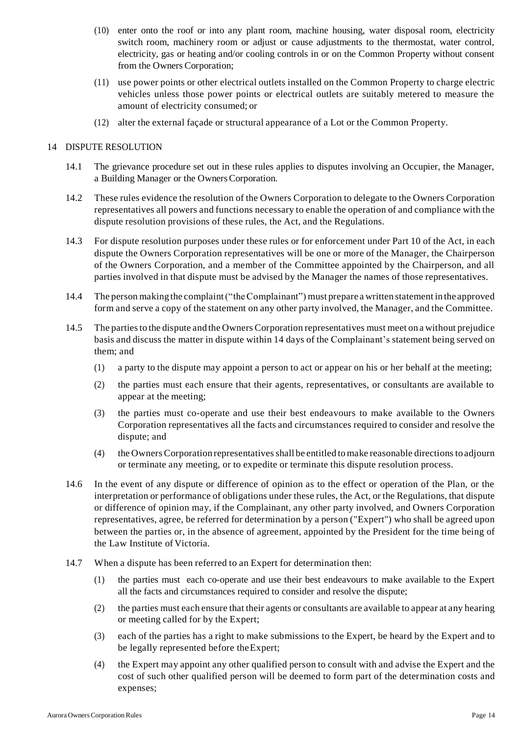- (10) enter onto the roof or into any plant room, machine housing, water disposal room, electricity switch room, machinery room or adjust or cause adjustments to the thermostat, water control, electricity, gas or heating and/or cooling controls in or on the Common Property without consent from the Owners Corporation;
- (11) use power points or other electrical outlets installed on the Common Property to charge electric vehicles unless those power points or electrical outlets are suitably metered to measure the amount of electricity consumed; or
- (12) alter the external façade or structural appearance of a Lot or the Common Property.

#### 14 DISPUTE RESOLUTION

- 14.1 The grievance procedure set out in these rules applies to disputes involving an Occupier, the Manager, a Building Manager or the OwnersCorporation.
- 14.2 These rules evidence the resolution of the Owners Corporation to delegate to the Owners Corporation representatives all powers and functions necessary to enable the operation of and compliance with the dispute resolution provisions of these rules, the Act, and the Regulations.
- 14.3 For dispute resolution purposes under these rules or for enforcement under Part 10 of the Act, in each dispute the Owners Corporation representatives will be one or more of the Manager, the Chairperson of the Owners Corporation, and a member of the Committee appointed by the Chairperson, and all parties involved in that dispute must be advised by the Manager the names of those representatives.
- 14.4 The person makingthe complaint("theComplainant") must prepare a written statement in the approved form and serve a copy of the statement on any other party involved, the Manager, and the Committee.
- 14.5 The partiesto the dispute and the OwnersCorporation representatives must meet on a without prejudice basis and discuss the matter in dispute within 14 days of the Complainant's statement being served on them; and
	- (1) a party to the dispute may appoint a person to act or appear on his or her behalf at the meeting;
	- (2) the parties must each ensure that their agents, representatives, or consultants are available to appear at the meeting;
	- (3) the parties must co-operate and use their best endeavours to make available to the Owners Corporation representatives all the facts and circumstances required to consider and resolve the dispute; and
	- (4) the OwnersCorporation representativesshall be entitled to make reasonable directionsto adjourn or terminate any meeting, or to expedite or terminate this dispute resolution process.
- 14.6 In the event of any dispute or difference of opinion as to the effect or operation of the Plan, or the interpretation or performance of obligations under these rules, the Act, or the Regulations, that dispute or difference of opinion may, if the Complainant, any other party involved, and Owners Corporation representatives, agree, be referred for determination by a person ("Expert") who shall be agreed upon between the parties or, in the absence of agreement, appointed by the President for the time being of the Law Institute of Victoria.
- 14.7 When a dispute has been referred to an Expert for determination then:
	- (1) the parties must each co-operate and use their best endeavours to make available to the Expert all the facts and circumstances required to consider and resolve the dispute;
	- (2) the parties must each ensure that their agents or consultants are available to appear at any hearing or meeting called for by the Expert;
	- (3) each of the parties has a right to make submissions to the Expert, be heard by the Expert and to be legally represented before theExpert;
	- (4) the Expert may appoint any other qualified person to consult with and advise the Expert and the cost of such other qualified person will be deemed to form part of the determination costs and expenses;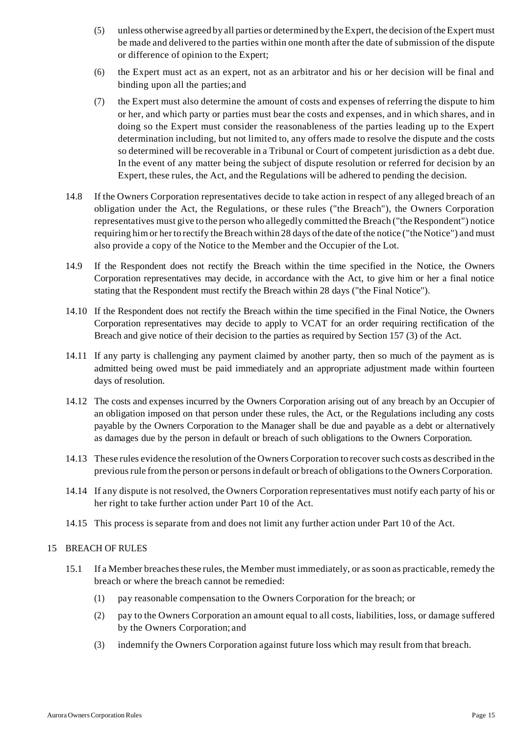- (5) unless otherwise agreed by all parties or determined by theExpert, the decision oftheExpert must be made and delivered to the parties within one month after the date of submission of the dispute or difference of opinion to the Expert;
- (6) the Expert must act as an expert, not as an arbitrator and his or her decision will be final and binding upon all the parties;and
- (7) the Expert must also determine the amount of costs and expenses of referring the dispute to him or her, and which party or parties must bear the costs and expenses, and in which shares, and in doing so the Expert must consider the reasonableness of the parties leading up to the Expert determination including, but not limited to, any offers made to resolve the dispute and the costs so determined will be recoverable in a Tribunal or Court of competent jurisdiction as a debt due. In the event of any matter being the subject of dispute resolution or referred for decision by an Expert, these rules, the Act, and the Regulations will be adhered to pending the decision.
- 14.8 If the Owners Corporation representatives decide to take action in respect of any alleged breach of an obligation under the Act, the Regulations, or these rules ("the Breach"), the Owners Corporation representatives must give to the person who allegedly committed the Breach ("the Respondent") notice requiring him or her to rectify the Breach within 28 days of the date of the notice ("the Notice") and must also provide a copy of the Notice to the Member and the Occupier of the Lot.
- 14.9 If the Respondent does not rectify the Breach within the time specified in the Notice, the Owners Corporation representatives may decide, in accordance with the Act, to give him or her a final notice stating that the Respondent must rectify the Breach within 28 days ("the Final Notice").
- 14.10 If the Respondent does not rectify the Breach within the time specified in the Final Notice, the Owners Corporation representatives may decide to apply to VCAT for an order requiring rectification of the Breach and give notice of their decision to the parties as required by Section 157 (3) of the Act.
- 14.11 If any party is challenging any payment claimed by another party, then so much of the payment as is admitted being owed must be paid immediately and an appropriate adjustment made within fourteen days of resolution.
- 14.12 The costs and expenses incurred by the Owners Corporation arising out of any breach by an Occupier of an obligation imposed on that person under these rules, the Act, or the Regulations including any costs payable by the Owners Corporation to the Manager shall be due and payable as a debt or alternatively as damages due by the person in default or breach of such obligations to the Owners Corporation.
- 14.13 These rules evidence the resolution of the Owners Corporation to recover such costs as described in the previous rule from the person or persons in default or breach of obligations to the Owners Corporation.
- 14.14 If any dispute is not resolved, the Owners Corporation representatives must notify each party of his or her right to take further action under Part 10 of the Act.
- 14.15 This process is separate from and does not limit any further action under Part 10 of the Act.

#### 15 BREACH OF RULES

- 15.1 If a Member breaches these rules, the Member must immediately, or as soon as practicable, remedy the breach or where the breach cannot be remedied:
	- (1) pay reasonable compensation to the Owners Corporation for the breach; or
	- (2) pay to the Owners Corporation an amount equal to all costs, liabilities, loss, or damage suffered by the Owners Corporation; and
	- (3) indemnify the Owners Corporation against future loss which may result from that breach.